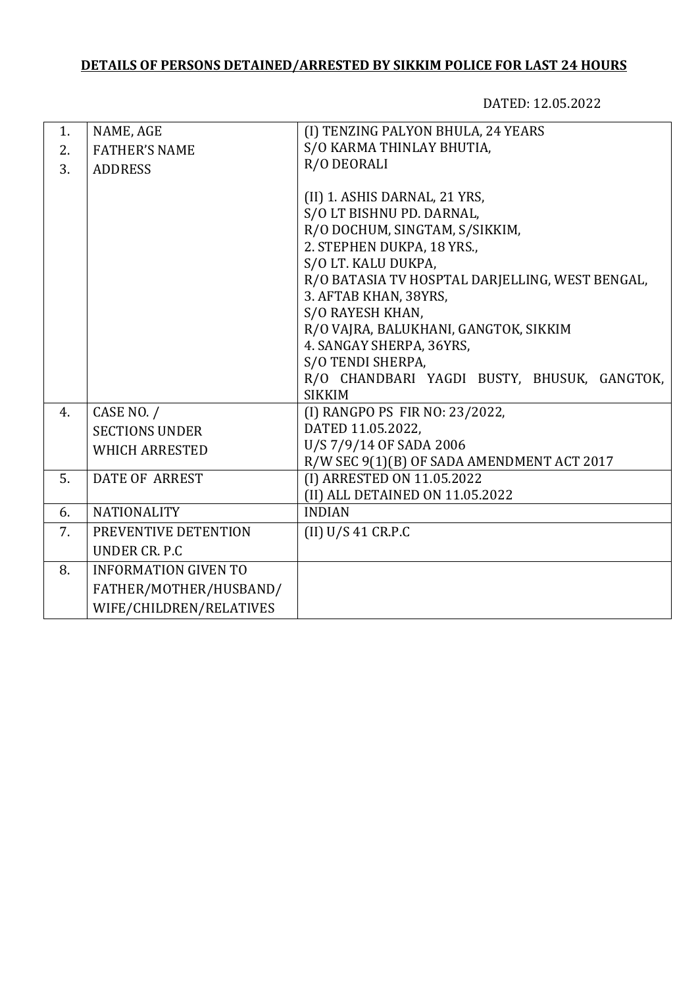## **DETAILS OF PERSONS DETAINED/ARRESTED BY SIKKIM POLICE FOR LAST 24 HOURS**

DATED: 12.05.2022

| 1. | NAME, AGE                   | (I) TENZING PALYON BHULA, 24 YEARS              |
|----|-----------------------------|-------------------------------------------------|
| 2. | <b>FATHER'S NAME</b>        | S/O KARMA THINLAY BHUTIA,                       |
| 3. | <b>ADDRESS</b>              | R/O DEORALI                                     |
|    |                             |                                                 |
|    |                             | (II) 1. ASHIS DARNAL, 21 YRS,                   |
|    |                             | S/O LT BISHNU PD. DARNAL,                       |
|    |                             | R/O DOCHUM, SINGTAM, S/SIKKIM,                  |
|    |                             | 2. STEPHEN DUKPA, 18 YRS.,                      |
|    |                             | S/O LT. KALU DUKPA,                             |
|    |                             | R/O BATASIA TV HOSPTAL DARJELLING, WEST BENGAL, |
|    |                             | 3. AFTAB KHAN, 38YRS,                           |
|    |                             | S/O RAYESH KHAN,                                |
|    |                             | R/O VAJRA, BALUKHANI, GANGTOK, SIKKIM           |
|    |                             | 4. SANGAY SHERPA, 36YRS,                        |
|    |                             | S/O TENDI SHERPA,                               |
|    |                             | R/O CHANDBARI YAGDI BUSTY, BHUSUK, GANGTOK,     |
|    |                             | <b>SIKKIM</b>                                   |
| 4. | CASE NO. /                  | (I) RANGPO PS FIR NO: 23/2022,                  |
|    | <b>SECTIONS UNDER</b>       | DATED 11.05.2022,                               |
|    | <b>WHICH ARRESTED</b>       | U/S 7/9/14 OF SADA 2006                         |
|    |                             | R/W SEC 9(1)(B) OF SADA AMENDMENT ACT 2017      |
| 5. | <b>DATE OF ARREST</b>       | (I) ARRESTED ON 11.05.2022                      |
|    |                             | (II) ALL DETAINED ON 11.05.2022                 |
| 6. | <b>NATIONALITY</b>          | <b>INDIAN</b>                                   |
| 7. | PREVENTIVE DETENTION        | (II) U/S 41 C R.P.C                             |
|    | UNDER CR. P.C.              |                                                 |
| 8. | <b>INFORMATION GIVEN TO</b> |                                                 |
|    | FATHER/MOTHER/HUSBAND/      |                                                 |
|    | WIFE/CHILDREN/RELATIVES     |                                                 |
|    |                             |                                                 |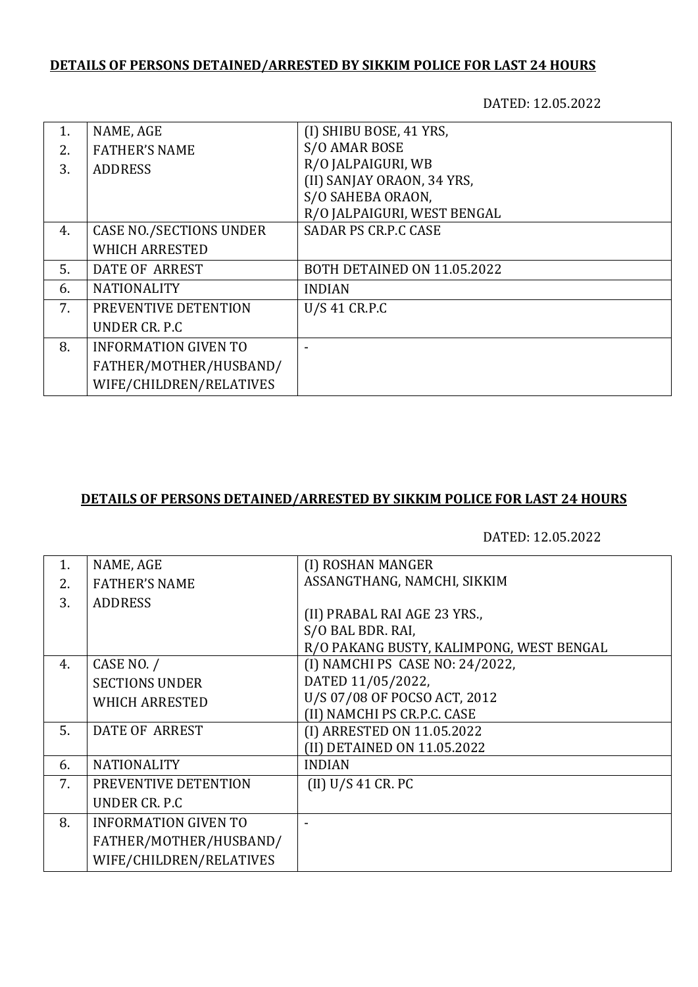## **DETAILS OF PERSONS DETAINED/ARRESTED BY SIKKIM POLICE FOR LAST 24 HOURS**

DATED: 12.05.2022

| 1. | NAME, AGE                      | (I) SHIBU BOSE, 41 YRS,     |
|----|--------------------------------|-----------------------------|
| 2. | <b>FATHER'S NAME</b>           | S/O AMAR BOSE               |
| 3. | <b>ADDRESS</b>                 | R/O JALPAIGURI, WB          |
|    |                                | (II) SANJAY ORAON, 34 YRS,  |
|    |                                | S/O SAHEBA ORAON,           |
|    |                                | R/O JALPAIGURI, WEST BENGAL |
| 4. | <b>CASE NO./SECTIONS UNDER</b> | <b>SADAR PS CR.P.C CASE</b> |
|    | <b>WHICH ARRESTED</b>          |                             |
| 5. | DATE OF ARREST                 | BOTH DETAINED ON 11.05.2022 |
| 6. | <b>NATIONALITY</b>             | <b>INDIAN</b>               |
| 7. | PREVENTIVE DETENTION           | U/S 41 CR.P.C               |
|    | UNDER CR. P.C                  |                             |
| 8. | <b>INFORMATION GIVEN TO</b>    |                             |
|    | FATHER/MOTHER/HUSBAND/         |                             |
|    | WIFE/CHILDREN/RELATIVES        |                             |

## **DETAILS OF PERSONS DETAINED/ARRESTED BY SIKKIM POLICE FOR LAST 24 HOURS**

DATED: 12.05.2022

| 1. | NAME, AGE                   | (I) ROSHAN MANGER                        |
|----|-----------------------------|------------------------------------------|
| 2. | <b>FATHER'S NAME</b>        | ASSANGTHANG, NAMCHI, SIKKIM              |
| 3. | <b>ADDRESS</b>              |                                          |
|    |                             | (II) PRABAL RAI AGE 23 YRS.,             |
|    |                             | S/O BAL BDR. RAI,                        |
|    |                             | R/O PAKANG BUSTY, KALIMPONG, WEST BENGAL |
| 4. | CASE NO. /                  | (I) NAMCHI PS CASE NO: 24/2022,          |
|    | <b>SECTIONS UNDER</b>       | DATED 11/05/2022,                        |
|    | <b>WHICH ARRESTED</b>       | U/S 07/08 OF POCSO ACT, 2012             |
|    |                             | (II) NAMCHI PS CR.P.C. CASE              |
| 5. | <b>DATE OF ARREST</b>       | (I) ARRESTED ON 11.05.2022               |
|    |                             | (II) DETAINED ON 11.05.2022              |
| 6. | <b>NATIONALITY</b>          | <b>INDIAN</b>                            |
| 7. | PREVENTIVE DETENTION        | (II) U/S 41 CR. PC                       |
|    | UNDER CR. P.C               |                                          |
| 8. | <b>INFORMATION GIVEN TO</b> |                                          |
|    | FATHER/MOTHER/HUSBAND/      |                                          |
|    | WIFE/CHILDREN/RELATIVES     |                                          |